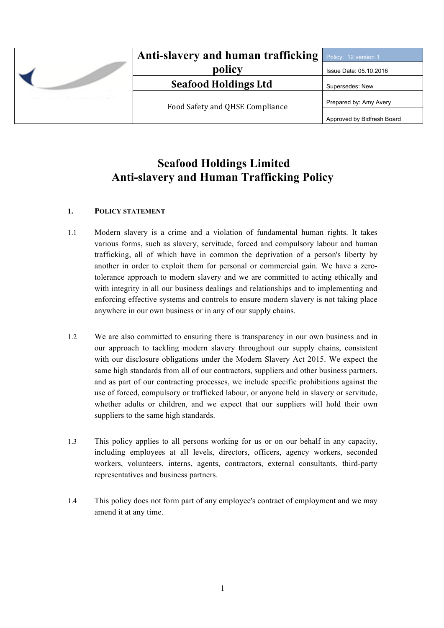|  | <b>Anti-slavery and human trafficking</b> Policy: 12 version 1<br>policy | Issue Date: 05.10.2016     |
|--|--------------------------------------------------------------------------|----------------------------|
|  | <b>Seafood Holdings Ltd</b>                                              | Supersedes: New            |
|  | Food Safety and QHSE Compliance                                          | Prepared by: Amy Avery     |
|  |                                                                          | Approved by Bidfresh Board |

# **Seafood Holdings Limited Anti-slavery and Human Trafficking Policy**

## **1. POLICY STATEMENT**

- 1.1 Modern slavery is a crime and a violation of fundamental human rights. It takes various forms, such as slavery, servitude, forced and compulsory labour and human trafficking, all of which have in common the deprivation of a person's liberty by another in order to exploit them for personal or commercial gain. We have a zerotolerance approach to modern slavery and we are committed to acting ethically and with integrity in all our business dealings and relationships and to implementing and enforcing effective systems and controls to ensure modern slavery is not taking place anywhere in our own business or in any of our supply chains.
- 1.2 We are also committed to ensuring there is transparency in our own business and in our approach to tackling modern slavery throughout our supply chains, consistent with our disclosure obligations under the Modern Slavery Act 2015. We expect the same high standards from all of our contractors, suppliers and other business partners. and as part of our contracting processes, we include specific prohibitions against the use of forced, compulsory or trafficked labour, or anyone held in slavery or servitude, whether adults or children, and we expect that our suppliers will hold their own suppliers to the same high standards.
- 1.3 This policy applies to all persons working for us or on our behalf in any capacity, including employees at all levels, directors, officers, agency workers, seconded workers, volunteers, interns, agents, contractors, external consultants, third-party representatives and business partners.
- 1.4 This policy does not form part of any employee's contract of employment and we may amend it at any time.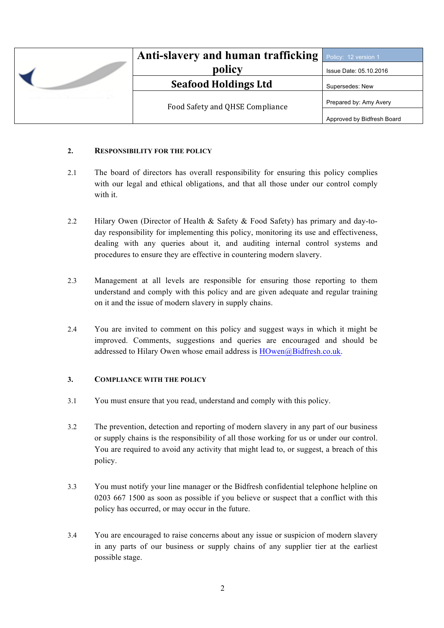|  | Anti-slavery and human trafficking | Policy: 12 version 1       |
|--|------------------------------------|----------------------------|
|  | policy                             | Issue Date: 05.10.2016     |
|  | <b>Seafood Holdings Ltd</b>        | Supersedes: New            |
|  | Food Safety and QHSE Compliance    | Prepared by: Amy Avery     |
|  |                                    | Approved by Bidfresh Board |

#### **2. RESPONSIBILITY FOR THE POLICY**

- 2.1 The board of directors has overall responsibility for ensuring this policy complies with our legal and ethical obligations, and that all those under our control comply with it.
- 2.2 Hilary Owen (Director of Health & Safety & Food Safety) has primary and day-today responsibility for implementing this policy, monitoring its use and effectiveness, dealing with any queries about it, and auditing internal control systems and procedures to ensure they are effective in countering modern slavery.
- 2.3 Management at all levels are responsible for ensuring those reporting to them understand and comply with this policy and are given adequate and regular training on it and the issue of modern slavery in supply chains.
- 2.4 You are invited to comment on this policy and suggest ways in which it might be improved. Comments, suggestions and queries are encouraged and should be addressed to Hilary Owen whose email address is [HOwen@Bidfresh.co.uk](mailto:HOwen@Bidfresh.co.uk).

## **3. COMPLIANCE WITH THE POLICY**

- 3.1 You must ensure that you read, understand and comply with this policy.
- 3.2 The prevention, detection and reporting of modern slavery in any part of our business or supply chains is the responsibility of all those working for us or under our control. You are required to avoid any activity that might lead to, or suggest, a breach of this policy.
- 3.3 You must notify your line manager or the Bidfresh confidential telephone helpline on 0203 667 1500 as soon as possible if you believe or suspect that a conflict with this policy has occurred, or may occur in the future.
- 3.4 You are encouraged to raise concerns about any issue or suspicion of modern slavery in any parts of our business or supply chains of any supplier tier at the earliest possible stage.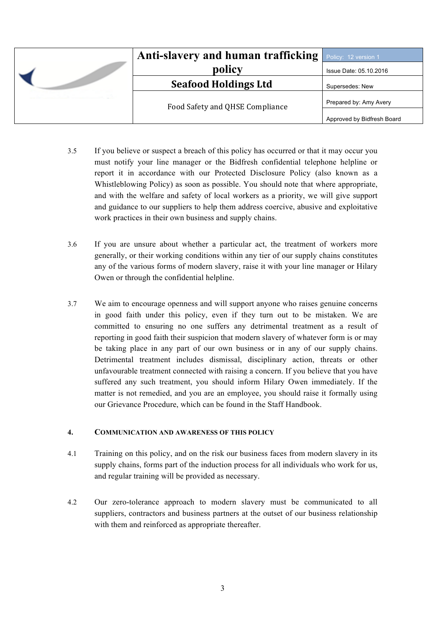|  | Anti-slavery and human trafficking | Policy: 12 version 1       |
|--|------------------------------------|----------------------------|
|  | policy                             | Issue Date: 05.10.2016     |
|  | <b>Seafood Holdings Ltd</b>        | Supersedes: New            |
|  | Food Safety and QHSE Compliance    | Prepared by: Amy Avery     |
|  |                                    | Approved by Bidfresh Board |

- 3.5 If you believe or suspect a breach of this policy has occurred or that it may occur you must notify your line manager or the Bidfresh confidential telephone helpline or report it in accordance with our Protected Disclosure Policy (also known as a Whistleblowing Policy) as soon as possible. You should note that where appropriate, and with the welfare and safety of local workers as a priority, we will give support and guidance to our suppliers to help them address coercive, abusive and exploitative work practices in their own business and supply chains.
- 3.6 If you are unsure about whether a particular act, the treatment of workers more generally, or their working conditions within any tier of our supply chains constitutes any of the various forms of modern slavery, raise it with your line manager or Hilary Owen or through the confidential helpline.
- 3.7 We aim to encourage openness and will support anyone who raises genuine concerns in good faith under this policy, even if they turn out to be mistaken. We are committed to ensuring no one suffers any detrimental treatment as a result of reporting in good faith their suspicion that modern slavery of whatever form is or may be taking place in any part of our own business or in any of our supply chains. Detrimental treatment includes dismissal, disciplinary action, threats or other unfavourable treatment connected with raising a concern. If you believe that you have suffered any such treatment, you should inform Hilary Owen immediately. If the matter is not remedied, and you are an employee, you should raise it formally using our Grievance Procedure, which can be found in the Staff Handbook.

## **4. COMMUNICATION AND AWARENESS OF THIS POLICY**

- 4.1 Training on this policy, and on the risk our business faces from modern slavery in its supply chains, forms part of the induction process for all individuals who work for us, and regular training will be provided as necessary.
- 4.2 Our zero-tolerance approach to modern slavery must be communicated to all suppliers, contractors and business partners at the outset of our business relationship with them and reinforced as appropriate thereafter.